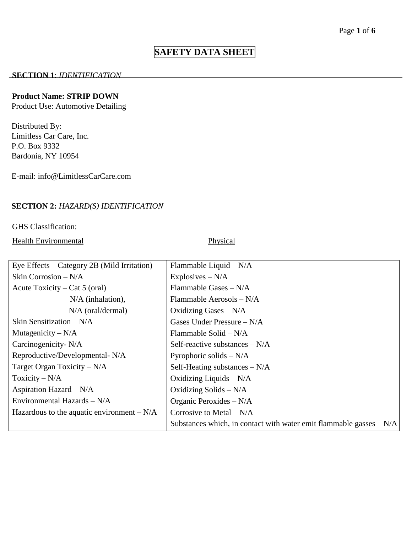# **SAFETY DATA SHEET**

#### **SECTION 1**: *IDENTIFICATION*

#### **Product Name: STRIP DOWN**

Product Use: Automotive Detailing

Distributed By: Limitless Car Care, Inc. P.O. Box 9332 Bardonia, NY 10954

E-mail: info@LimitlessCarCare.com

## **SECTION 2:** *HAZARD(S) IDENTIFICATION*

#### GHS Classification:

Health Environmental Physical

| Eye Effects $-$ Category 2B (Mild Irritation) | Flammable Liquid $-N/A$                                              |
|-----------------------------------------------|----------------------------------------------------------------------|
| Skin Corrosion - N/A                          | Explosives $-N/A$                                                    |
| Acute Toxicity – Cat 5 (oral)                 | Flammable Gases $-N/A$                                               |
| $N/A$ (inhalation),                           | Flammable Aerosols $-N/A$                                            |
| $N/A$ (oral/dermal)                           | Oxidizing Gases $-N/A$                                               |
| Skin Sensitization $-N/A$                     | Gases Under Pressure $-N/A$                                          |
| Mutagenicity $-N/A$                           | Flammable Solid $-N/A$                                               |
| Carcinogenicity- N/A                          | Self-reactive substances $-N/A$                                      |
| Reproductive/Developmental-N/A                | Pyrophoric solids $-N/A$                                             |
| Target Organ Toxicity $-N/A$                  | Self-Heating substances $-N/A$                                       |
| Toxicity $-N/A$                               | Oxidizing Liquids $-N/A$                                             |
| Aspiration Hazard $-N/A$                      | Oxidizing Solids $-N/A$                                              |
| Environmental Hazards $- N/A$                 | Organic Peroxides - N/A                                              |
| Hazardous to the aquatic environment $-N/A$   | Corrosive to Metal $-N/A$                                            |
|                                               | Substances which, in contact with water emit flammable gasses $-N/A$ |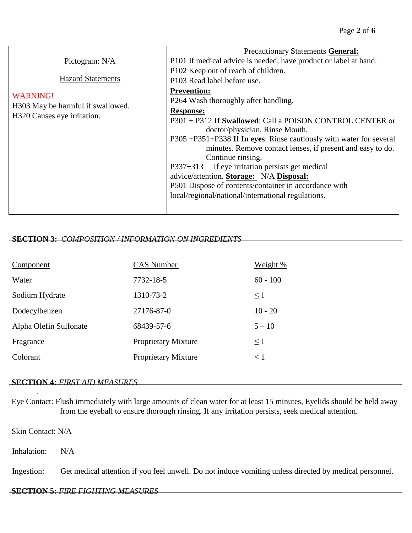|                                   | <b>Precautionary Statements General:</b>                           |
|-----------------------------------|--------------------------------------------------------------------|
| Pictogram: N/A                    | P101 If medical advice is needed, have product or label at hand.   |
| <b>Hazard Statements</b>          | P102 Keep out of reach of children.                                |
|                                   | P103 Read label before use.                                        |
| <b>WARNING!</b>                   | <b>Prevention:</b>                                                 |
| H303 May be harmful if swallowed. | P264 Wash thoroughly after handling.                               |
| H320 Causes eye irritation.       | <b>Response:</b>                                                   |
|                                   | P301 + P312 If Swallowed: Call a POISON CONTROL CENTER or          |
|                                   | doctor/physician. Rinse Mouth.                                     |
|                                   | P305+P351+P338 If In eyes: Rinse cautiously with water for several |
|                                   | minutes. Remove contact lenses, if present and easy to do.         |
|                                   | Continue rinsing.                                                  |
|                                   | If eye irritation persists get medical<br>$P337+313$               |
|                                   | advice/attention. Storage: N/A Disposal:                           |
|                                   | P501 Dispose of contents/container in accordance with              |
|                                   | local/regional/national/international regulations.                 |
|                                   |                                                                    |

## **SECTION 3:** *COMPOSITION / INFORMATION ON INGREDIENTS*

| Component              | <b>CAS</b> Number          | Weight %   |
|------------------------|----------------------------|------------|
| Water                  | 7732-18-5                  | $60 - 100$ |
| Sodium Hydrate         | 1310-73-2                  | $\leq$ 1   |
| Dodecylbenzen          | 27176-87-0                 | $10 - 20$  |
| Alpha Olefin Sulfonate | 68439-57-6                 | $5 - 10$   |
| Fragrance              | <b>Proprietary Mixture</b> | $\leq$ 1   |
| Colorant               | <b>Proprietary Mixture</b> | < 1        |

#### **SECTION 4:** *FIRST AID MEASURES*

Eye Contact: Flush immediately with large amounts of clean water for at least 15 minutes, Eyelids should be held away from the eyeball to ensure thorough rinsing. If any irritation persists, seek medical attention.

Skin Contact: N/A

.

Inhalation: N/A

Ingestion: Get medical attention if you feel unwell. Do not induce vomiting unless directed by medical personnel.

#### **SECTION 5:** *FIRE FIGHTING MEASURES*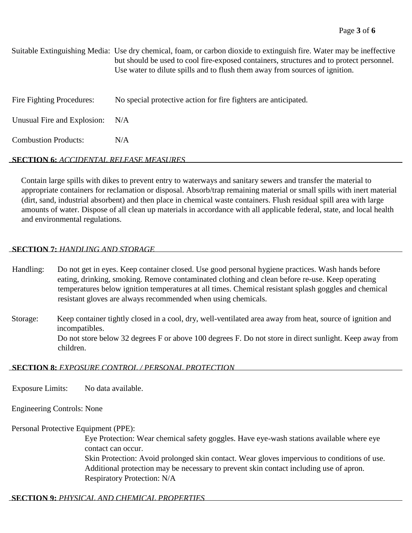|                             | Suitable Extinguishing Media: Use dry chemical, foam, or carbon dioxide to extinguish fire. Water may be ineffective<br>but should be used to cool fire-exposed containers, structures and to protect personnel.<br>Use water to dilute spills and to flush them away from sources of ignition. |
|-----------------------------|-------------------------------------------------------------------------------------------------------------------------------------------------------------------------------------------------------------------------------------------------------------------------------------------------|
| Fire Fighting Procedures:   | No special protective action for fire fighters are anticipated.                                                                                                                                                                                                                                 |
| Unusual Fire and Explosion: | N/A                                                                                                                                                                                                                                                                                             |
| <b>Combustion Products:</b> | N/A                                                                                                                                                                                                                                                                                             |

#### **SECTION 6:** *ACCIDENTAL RELEASE MEASURES*

Contain large spills with dikes to prevent entry to waterways and sanitary sewers and transfer the material to appropriate containers for reclamation or disposal. Absorb/trap remaining material or small spills with inert material (dirt, sand, industrial absorbent) and then place in chemical waste containers. Flush residual spill area with large amounts of water. Dispose of all clean up materials in accordance with all applicable federal, state, and local health and environmental regulations.

#### **SECTION 7:** *HANDLING AND STORAGE*

Handling: Do not get in eyes. Keep container closed. Use good personal hygiene practices. Wash hands before eating, drinking, smoking. Remove contaminated clothing and clean before re-use. Keep operating temperatures below ignition temperatures at all times. Chemical resistant splash goggles and chemical resistant gloves are always recommended when using chemicals.

Storage: Keep container tightly closed in a cool, dry, well-ventilated area away from heat, source of ignition and incompatibles. Do not store below 32 degrees F or above 100 degrees F. Do not store in direct sunlight. Keep away from children.

#### **SECTION 8:** *EXPOSURE CONTROL / PERSONAL PROTECTION*

Exposure Limits: No data available.

Engineering Controls: None

#### Personal Protective Equipment (PPE):

Eye Protection: Wear chemical safety goggles. Have eye-wash stations available where eye contact can occur.

Skin Protection: Avoid prolonged skin contact. Wear gloves impervious to conditions of use. Additional protection may be necessary to prevent skin contact including use of apron. Respiratory Protection: N/A

# **SECTION 9:** *PHYSICAL AND CHEMICAL PROPERTIES*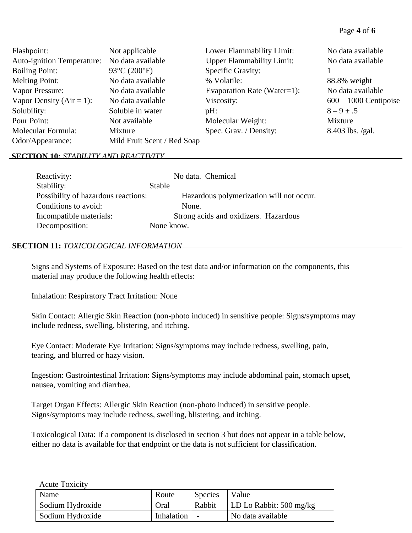#### Page **4** of **6**

| Flashpoint:                       | Not applicable              | Lower Flammability Limit:        | No data available       |
|-----------------------------------|-----------------------------|----------------------------------|-------------------------|
| <b>Auto-ignition Temperature:</b> | No data available           | <b>Upper Flammability Limit:</b> | No data available       |
| <b>Boiling Point:</b>             | 93°C (200°F)                | Specific Gravity:                |                         |
| <b>Melting Point:</b>             | No data available           | % Volatile:                      | 88.8% weight            |
| Vapor Pressure:                   | No data available           | Evaporation Rate (Water=1):      | No data available       |
| Vapor Density ( $Air = 1$ ):      | No data available           | Viscosity:                       | $600 - 1000$ Centipoise |
| Solubility:                       | Soluble in water            | $pH$ :                           | $8 - 9 \pm .5$          |
| Pour Point:                       | Not available               | Molecular Weight:                | Mixture                 |
| Molecular Formula:                | Mixture                     | Spec. Grav. / Density:           | $8.403$ lbs. /gal.      |
| Odor/Appearance:                  | Mild Fruit Scent / Red Soap |                                  |                         |

#### **SECTION 10:** *STABILITY AND REACTIVITY*

| Reactivity:                         | No data. Chemical                        |
|-------------------------------------|------------------------------------------|
| Stability:                          | Stable                                   |
| Possibility of hazardous reactions: | Hazardous polymerization will not occur. |
| Conditions to avoid:                | None.                                    |
| Incompatible materials:             | Strong acids and oxidizers. Hazardous    |
| Decomposition:                      | None know.                               |

#### **SECTION 11:** *TOXICOLOGICAL INFORMATION*

Signs and Systems of Exposure: Based on the test data and/or information on the components, this material may produce the following health effects:

Inhalation: Respiratory Tract Irritation: None

Skin Contact: Allergic Skin Reaction (non-photo induced) in sensitive people: Signs/symptoms may include redness, swelling, blistering, and itching.

Eye Contact: Moderate Eye Irritation: Signs/symptoms may include redness, swelling, pain, tearing, and blurred or hazy vision.

Ingestion: Gastrointestinal Irritation: Signs/symptoms may include abdominal pain, stomach upset, nausea, vomiting and diarrhea.

Target Organ Effects: Allergic Skin Reaction (non-photo induced) in sensitive people. Signs/symptoms may include redness, swelling, blistering, and itching.

Toxicological Data: If a component is disclosed in section 3 but does not appear in a table below, either no data is available for that endpoint or the data is not sufficient for classification.

Acute Toxicity

| Name             | Route      | Species | Value                             |
|------------------|------------|---------|-----------------------------------|
| Sodium Hydroxide | Oral       | Rabbit  | LD Lo Rabbit: $500 \text{ mg/kg}$ |
| Sodium Hydroxide | Inhalation |         | No data available                 |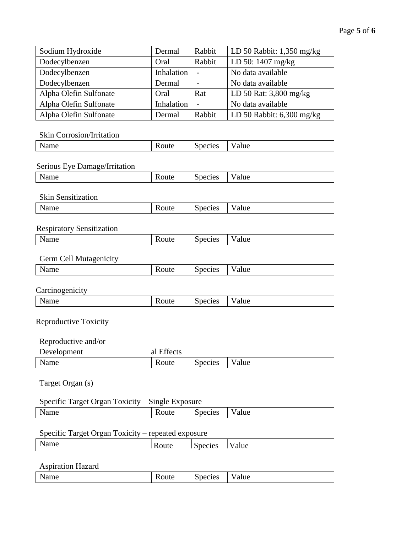| Sodium Hydroxide       | Dermal     | Rabbit                   | LD 50 Rabbit: $1,350$ mg/kg |
|------------------------|------------|--------------------------|-----------------------------|
| Dodecylbenzen          | Oral       | Rabbit                   | LD 50: 1407 mg/kg           |
| Dodecylbenzen          | Inhalation | $\overline{\phantom{0}}$ | No data available           |
| Dodecylbenzen          | Dermal     |                          | No data available           |
| Alpha Olefin Sulfonate | Oral       | Rat                      | LD 50 Rat: 3,800 mg/kg      |
| Alpha Olefin Sulfonate | Inhalation |                          | No data available           |
| Alpha Olefin Sulfonate | Dermal     | Rabbit                   | LD 50 Rabbit: $6,300$ mg/kg |

# Skin Corrosion/Irritation

| <b>NT</b><br>аше<br>×.<br><b>.</b> | rut<br>œ | $\sim$ $\sim$<br>١H<br>へいい<br>ັ | $\cdots$<br>alue |
|------------------------------------|----------|---------------------------------|------------------|
|                                    |          |                                 |                  |

## Serious Eye Damage/Irritation

| $ -$<br>в.<br>$\sim$<br><b>Name</b> | Species<br><b>NOULE</b> | alue<br> |
|-------------------------------------|-------------------------|----------|
|-------------------------------------|-------------------------|----------|

#### Skin Sensitization

| <b>NT</b><br>allie.<br>` | www | species<br>- | alue |
|--------------------------|-----|--------------|------|
|                          |     |              |      |

## Respiratory Sensitization

| N<br>$   -$<br>vame<br>$\overline{\phantom{a}}$ | Route | Species | alue |
|-------------------------------------------------|-------|---------|------|
|                                                 |       |         |      |

## Germ Cell Mutagenicity

| $-$<br>$\overline{\phantom{a}}$<br>----<br>ыше<br>N<br>$\overline{\phantom{a}}$ | Route | pecies<br>.nec<br>Ων | - -<br>'alue |
|---------------------------------------------------------------------------------|-------|----------------------|--------------|
|                                                                                 |       |                      |              |

#### **Carcinogenicity**

| -    |            |                |                       |
|------|------------|----------------|-----------------------|
| Name | –<br>Route | <b>Species</b> | $\sim$ $\sim$<br>alue |
|      |            |                |                       |

## Reproductive Toxicity

| Reproductive and/or |            |         |       |
|---------------------|------------|---------|-------|
| Development         | al Effects |         |       |
| Name                | Route      | Species | Value |

# Target Organ (s)

# Specific Target Organ Toxicity – Single Exposure

| __<br>__<br>__       | __<br>___ |                 |      |
|----------------------|-----------|-----------------|------|
| <b>N</b> T<br>allie. |           | æ<br><b>ACS</b> | alue |
|                      |           |                 |      |

# Specific Target Organ Toxicity – repeated exposure

| Name | Route | ∽<br>Species | $ -$<br>'alue<br>v |
|------|-------|--------------|--------------------|
|      |       |              |                    |

## Aspiration Hazard

| __<br>$\mathbf{v}$<br>د خصی<br>N<br><b>Name</b> | $\sim$ $\sim$<br><b>ULIES</b> | .<br>alue |
|-------------------------------------------------|-------------------------------|-----------|
|                                                 |                               |           |